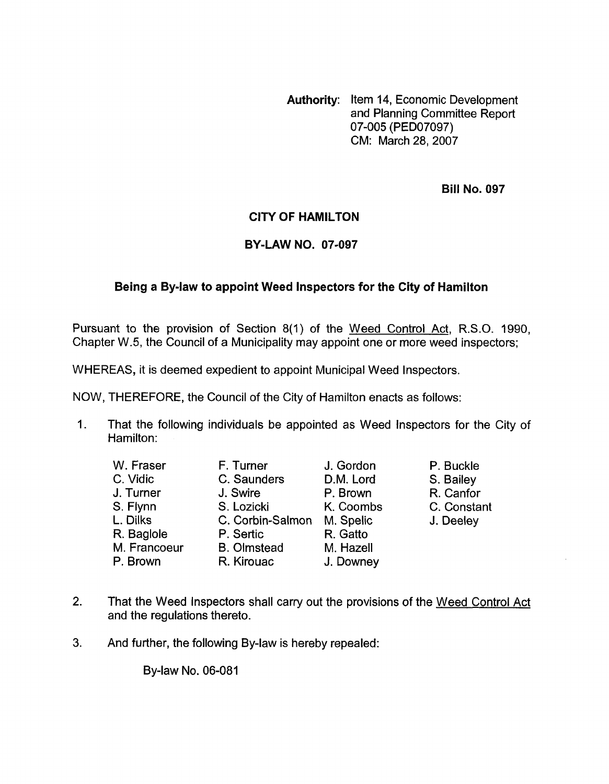**Authority:** Item 14, Economic Development and Planning Committee Report CM: March 28,2007 07-005 (PED07097)

**Bill No. 097** 

## **CITY OF HAMILTON**

## **BY-LAW NO. 07-097**

## **Being a Bylaw to appoint Weed Inspectors for the City of Hamilton**

Pursuant to the provision of Section 8(1) of the Weed Control Act, R.S.O. 1990, Chapter W.5, the Council of a Municipality may appoint one or more weed inspectors;

WHEREAS, it is deemed expedient to appoint Municipal Weed Inspectors.

NOW, THEREFORE, the Council of the City of Hamilton enacts as follows:

1. That the following individuals be appointed as Weed Inspectors for the City of Hamilton:

| W. Fraser    | F. Turner          | J. Gordon | P. Buckle   |
|--------------|--------------------|-----------|-------------|
| C. Vidic     | C. Saunders        | D.M. Lord | S. Bailey   |
| J. Turner    | J. Swire           | P. Brown  | R. Canfor   |
| S. Flynn     | S. Lozicki         | K. Coombs | C. Constant |
| L. Dilks     | C. Corbin-Salmon   | M. Spelic | J. Deeley   |
| R. Baglole   | P. Sertic          | R. Gatto  |             |
| M. Francoeur | <b>B.</b> Olmstead | M. Hazell |             |
| P. Brown     | R. Kirouac         | J. Downey |             |

- 2. That the Weed Inspectors shall carry out the provisions of the Weed Control Act and the regulations thereto.
- **3.** And further, the following By-law is hereby repealed:

By-law No. 06-081